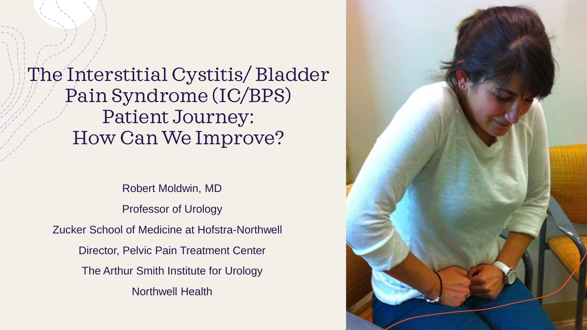The Interstitial Cystitis/ Bladder Pain Syndrome (IC/BPS) Patient Journey: How Can We Improve?

Robert Moldwin, MD Professor of Urology Zucker School of Medicine at Hofstra-Northwell Director, Pelvic Pain Treatment Center The Arthur Smith Institute for Urology Northwell Health

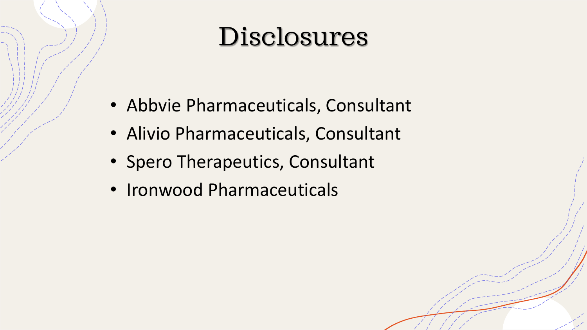### Disclosures

- Abbvie Pharmaceuticals, Consultant
- Alivio Pharmaceuticals, Consultant
- Spero Therapeutics, Consultant
- Ironwood Pharmaceuticals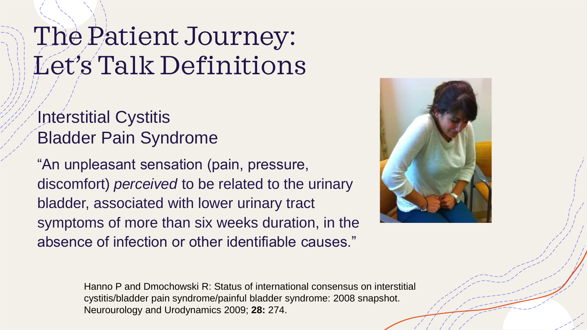### The Patient Journey: Let's Talk Definitions

#### Interstitial Cystitis Bladder Pain Syndrome

"An unpleasant sensation (pain, pressure, discomfort) *perceived* to be related to the urinary bladder, associated with lower urinary tract symptoms of more than six weeks duration, in the absence of infection or other identifiable causes."



Hanno P and Dmochowski R: Status of international consensus on interstitial cystitis/bladder pain syndrome/painful bladder syndrome: 2008 snapshot. Neurourology and Urodynamics 2009; **28:** 274.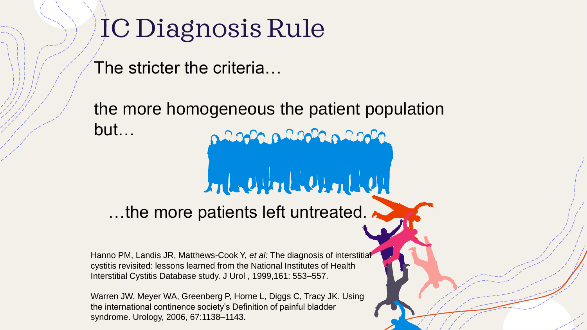### IC Diagnosis Rule

The stricter the criteria…

the more homogeneous the patient population but… p 2000 p 2000 a 2000

### mberlanden

…the more patients left untreated. ■

Hanno PM, Landis JR, Matthews-Cook Y, *et al:* The diagnosis of interstitial cystitis revisited: lessons learned from the National Institutes of Health Interstitial Cystitis Database study. J Urol , 1999,161: 553–557.

Warren JW, Meyer WA, Greenberg P, Horne L, Diggs C, Tracy JK. Using the international continence society's Definition of painful bladder syndrome. Urology, 2006, 67:1138–1143.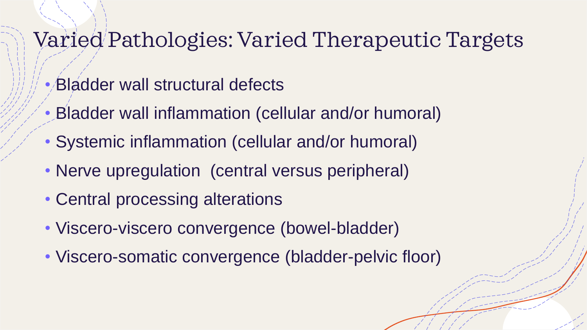### Varied Pathologies: Varied Therapeutic Targets

- Bladder wall structural defects
- Bladder wall inflammation (cellular and/or humoral)
- Systemic inflammation (cellular and/or humoral)
- Nerve upregulation (central versus peripheral)
- Central processing alterations
- Viscero-viscero convergence (bowel-bladder)
- Viscero-somatic convergence (bladder-pelvic floor)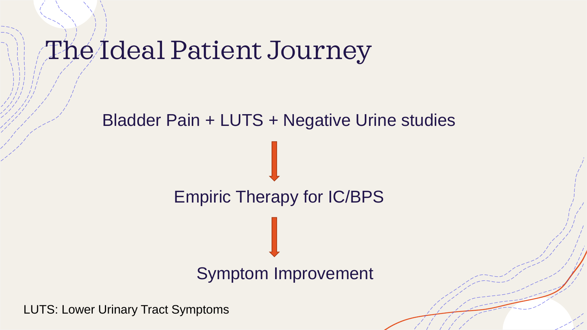### The Ideal Patient Journey

# Bladder Pain + LUTS + Negative Urine studies Empiric Therapy for IC/BPS Symptom Improvement

LUTS: Lower Urinary Tract Symptoms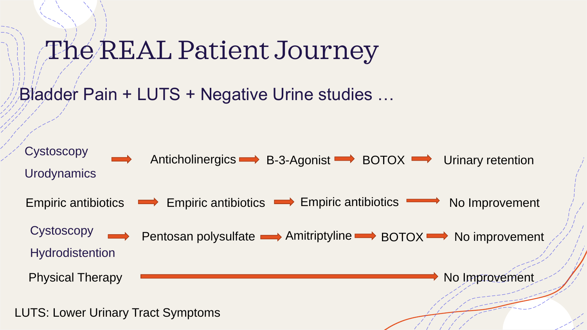### The REAL Patient Journey

Bladder Pain + LUTS + Negative Urine studies …

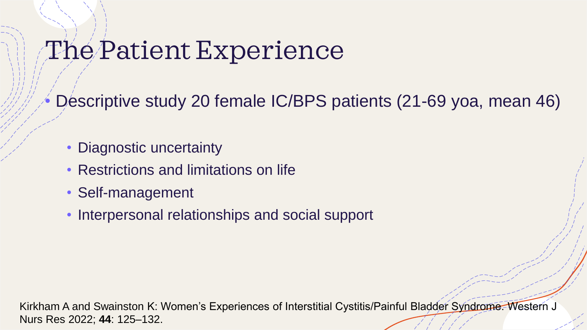### The Patient Experience

• Descriptive study 20 female IC/BPS patients (21-69 yoa, mean 46)

- Diagnostic uncertainty
- Restrictions and limitations on life
- Self-management
- Interpersonal relationships and social support

Kirkham A and Swainston K: Women's Experiences of Interstitial Cystitis/Painful Bladder Syndrome. Western J Nurs Res 2022; **44**: 125–132.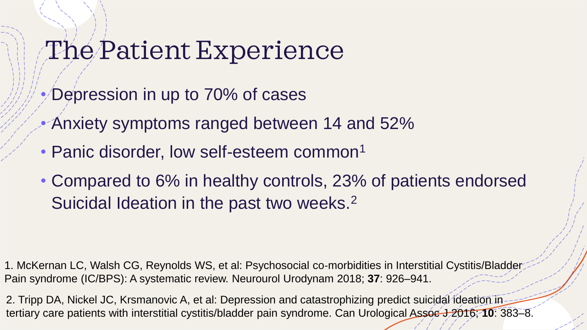### The Patient Experience

- Depression in up to 70% of cases
- Anxiety symptoms ranged between 14 and 52%
- Panic disorder, low self-esteem common<sup>1</sup>
- Compared to 6% in healthy controls, 23% of patients endorsed Suicidal Ideation in the past two weeks.<sup>2</sup>

1. McKernan LC, Walsh CG, Reynolds WS, et al: Psychosocial co‐morbidities in Interstitial Cystitis/Bladder Pain syndrome (IC/BPS): A systematic review. Neurourol Urodynam 2018; **37**: 926–941.

2. Tripp DA, Nickel JC, Krsmanovic A, et al: Depression and catastrophizing predict suicidal ideation in tertiary care patients with interstitial cystitis/bladder pain syndrome. Can Urological Assoc J 2016; 10: 383–8.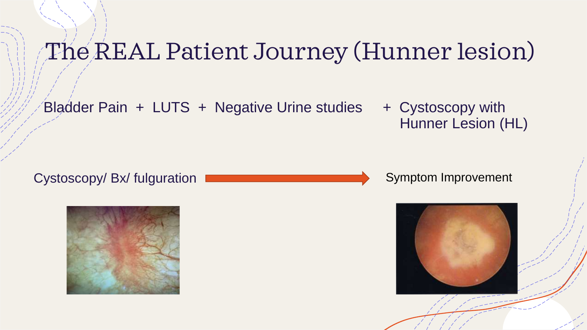### The REAL Patient Journey (Hunner lesion)

Bladder Pain  $+$  LUTS  $+$  Negative Urine studies  $+$  Cystoscopy with

Hunner Lesion (HL)





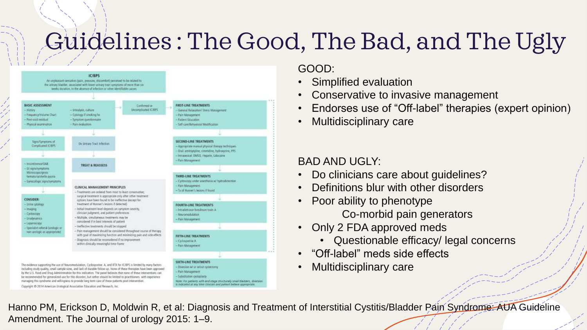### Guidelines : The Good, The Bad, and The Ugly



#### GOOD:

- Simplified evaluation
- Conservative to invasive management
- Endorses use of "Off-label" therapies (expert opinion)
- Multidisciplinary care

#### BAD AND UGLY:

- Do clinicians care about guidelines?
- Definitions blur with other disorders
- Poor ability to phenotype Co-morbid pain generators
- Only 2 FDA approved meds
	- Questionable efficacy/ legal concerns
- "Off-label" meds side effects
- Multidisciplinary care

Hanno PM, Erickson D, Moldwin R, et al: Diagnosis and Treatment of Interstitial Cystitis/Bladder Pain Syndrome: AUA Guideline Amendment. The Journal of urology 2015: 1–9.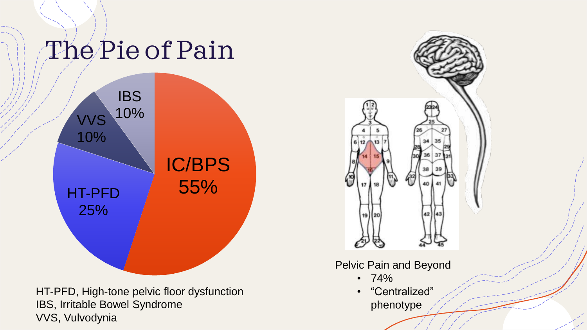## The Pie of Pain



HT-PFD, High-tone pelvic floor dysfunction IBS, Irritable Bowel Syndrome VVS, Vulvodynia



Pelvic Pain and Beyond

- 74%
- "Centralized" phenotype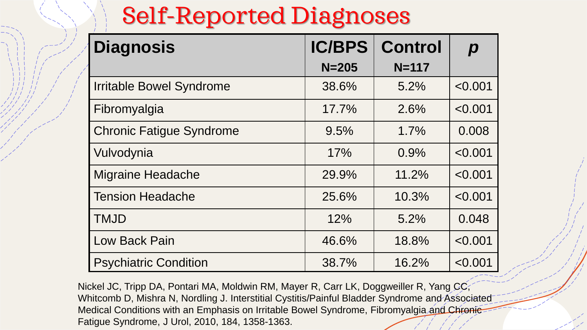### Self-Reported Diagnoses

| <b>Diagnosis</b>                | <b>IC/BPS</b> | <b>Control</b> | $\boldsymbol{p}$ |
|---------------------------------|---------------|----------------|------------------|
|                                 | $N = 205$     | $N = 117$      |                  |
| <b>Irritable Bowel Syndrome</b> | 38.6%         | 5.2%           | < 0.001          |
| Fibromyalgia                    | 17.7%         | 2.6%           | < 0.001          |
| <b>Chronic Fatigue Syndrome</b> | 9.5%          | 1.7%           | 0.008            |
| Vulvodynia                      | 17%           | 0.9%           | < 0.001          |
| <b>Migraine Headache</b>        | 29.9%         | 11.2%          | < 0.001          |
| l Tension Headache              | 25.6%         | 10.3%          | < 0.001          |
| <b>TMJD</b>                     | 12%           | 5.2%           | 0.048            |
| <b>Low Back Pain</b>            | 46.6%         | 18.8%          | < 0.001          |
| <b>Psychiatric Condition</b>    | 38.7%         | 16.2%          | < 0.001          |

Nickel JC, Tripp DA, Pontari MA, Moldwin RM, Mayer R, Carr LK, Doggweiller R, Yang CC, Whitcomb D, Mishra N, Nordling J. Interstitial Cystitis/Painful Bladder Syndrome and Associated Medical Conditions with an Emphasis on Irritable Bowel Syndrome, Fibromyalgia and Chronic Fatigue Syndrome, J Urol, 2010, 184, 1358-1363.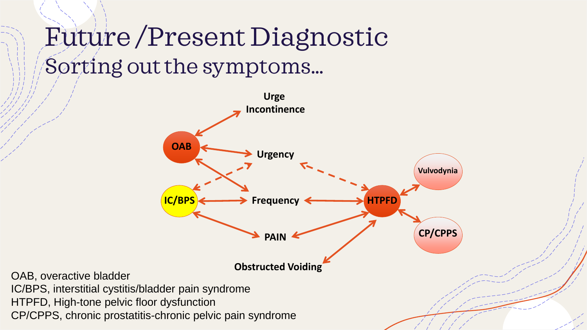### Future /Present Diagnostic Sorting out the symptoms…

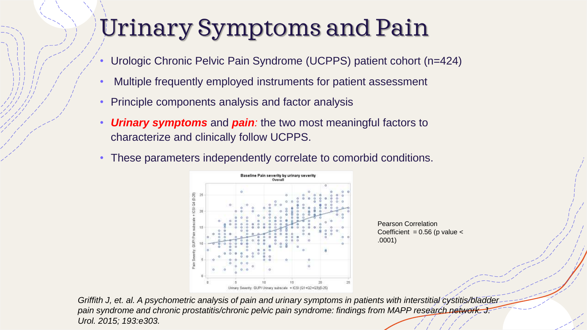### Urinary Symptoms and Pain

- Urologic Chronic Pelvic Pain Syndrome (UCPPS) patient cohort (n=424)
- Multiple frequently employed instruments for patient assessment
- Principle components analysis and factor analysis
- *Urinary symptoms* and *pain:* the two most meaningful factors to characterize and clinically follow UCPPS.
- These parameters independently correlate to comorbid conditions.



Pearson Correlation Coefficient =  $0.56$  (p value  $\le$ .0001)

*Griffith J, et. al. A psychometric analysis of pain and urinary symptoms in patients with interstitial cystitis/bladder*  pain syndrome and chronic prostatitis/chronic pelvic pain syndrome: findings from MAPP research network. J. *Urol. 2015; 193:e303.*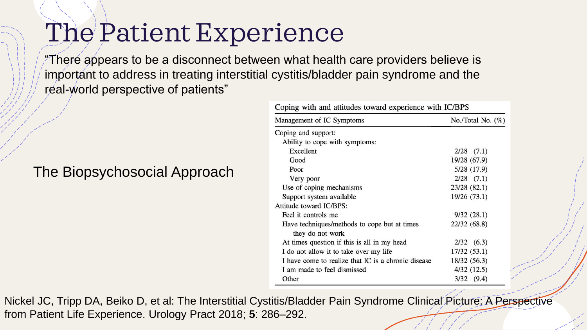### The Patient Experience

"There appears to be a disconnect between what health care providers believe is important to address in treating interstitial cystitis/bladder pain syndrome and the real-world perspective of patients"

#### The Biopsychosocial Approach

| Coping with and attitudes toward experience with IC/BPS |                      |  |
|---------------------------------------------------------|----------------------|--|
| Management of IC Symptoms                               | No./Total No. $(\%)$ |  |
| Coping and support:                                     |                      |  |
| Ability to cope with symptoms:                          |                      |  |
| Excellent                                               | $2/28$ $(7.1)$       |  |
| Good                                                    | 19/28 (67.9)         |  |
| Poor                                                    | 5/28 (17.9)          |  |
| Very poor                                               | $2/28$ $(7.1)$       |  |
| Use of coping mechanisms                                | 23/28 (82.1)         |  |
| Support system available                                | 19/26 (73.1)         |  |
| Attitude toward IC/BPS:                                 |                      |  |
| Feel it controls me                                     | 9/32(28.1)           |  |
| Have techniques/methods to cope but at times            | 22/32 (68.8)         |  |
| they do not work                                        |                      |  |
| At times question if this is all in my head             | $2/32$ (6.3)         |  |
| I do not allow it to take over my life                  | 17/32 (53.1)         |  |
| I have come to realize that IC is a chronic disease     | 18/32 (56.3)         |  |
| I am made to feel dismissed                             | 4/32(12.5)           |  |
| Other                                                   | $3/32$ $(9.4)$       |  |

Nickel JC, Tripp DA, Beiko D, et al: The Interstitial Cystitis/Bladder Pain Syndrome Clinical Picture: A Perspective from Patient Life Experience. Urology Pract 2018; **5**: 286–292.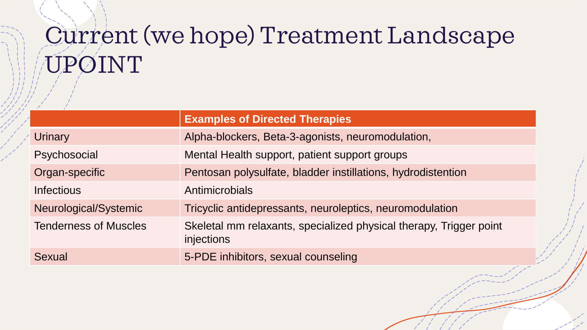### Current (we hope) Treatment Landscape UPOINT

|                              | <b>Examples of Directed Therapies</b>                                            |
|------------------------------|----------------------------------------------------------------------------------|
| Urinary                      | Alpha-blockers, Beta-3-agonists, neuromodulation,                                |
| Psychosocial                 | Mental Health support, patient support groups                                    |
| Organ-specific               | Pentosan polysulfate, bladder instillations, hydrodistention                     |
| <b>Infectious</b>            | <b>Antimicrobials</b>                                                            |
| Neurological/Systemic        | Tricyclic antidepressants, neuroleptics, neuromodulation                         |
| <b>Tenderness of Muscles</b> | Skeletal mm relaxants, specialized physical therapy, Trigger point<br>injections |
| Sexual                       | 5-PDE inhibitors, sexual counseling<br>سمر                                       |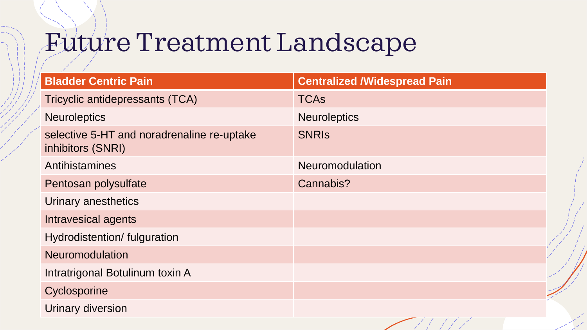### Future Treatment Landscape

| <b>Bladder Centric Pain</b>                                     | <b>Centralized /Widespread Pain</b> |
|-----------------------------------------------------------------|-------------------------------------|
| Tricyclic antidepressants (TCA)                                 | <b>TCAs</b>                         |
| <b>Neuroleptics</b>                                             | <b>Neuroleptics</b>                 |
| selective 5-HT and noradrenaline re-uptake<br>inhibitors (SNRI) | <b>SNRIS</b>                        |
| Antihistamines                                                  | <b>Neuromodulation</b>              |
| Pentosan polysulfate                                            | Cannabis?                           |
| Urinary anesthetics                                             |                                     |
| Intravesical agents                                             |                                     |
| Hydrodistention/ fulguration                                    |                                     |
| <b>Neuromodulation</b>                                          |                                     |
| Intratrigonal Botulinum toxin A                                 | $\overline{\phantom{a}}$            |
| Cyclosporine                                                    | $\frac{1}{2}$                       |
| <b>Urinary diversion</b>                                        |                                     |

インタイプ